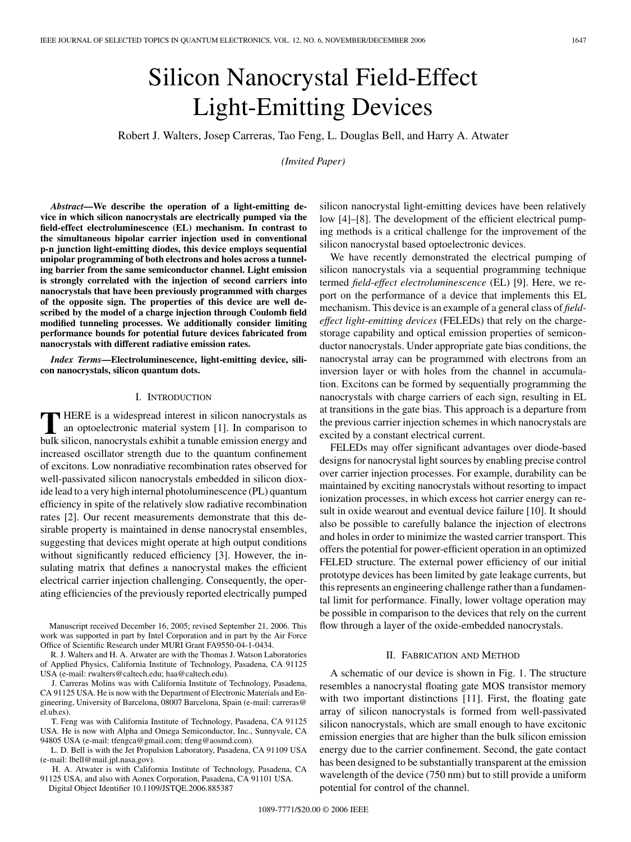# Silicon Nanocrystal Field-Effect Light-Emitting Devices

Robert J. Walters, Josep Carreras, Tao Feng, L. Douglas Bell, and Harry A. Atwater

*(Invited Paper)*

*Abstract***—We describe the operation of a light-emitting device in which silicon nanocrystals are electrically pumped via the field-effect electroluminescence (EL) mechanism. In contrast to the simultaneous bipolar carrier injection used in conventional p-n junction light-emitting diodes, this device employs sequential unipolar programming of both electrons and holes across a tunneling barrier from the same semiconductor channel. Light emission is strongly correlated with the injection of second carriers into nanocrystals that have been previously programmed with charges of the opposite sign. The properties of this device are well described by the model of a charge injection through Coulomb field modified tunneling processes. We additionally consider limiting performance bounds for potential future devices fabricated from nanocrystals with different radiative emission rates.**

*Index Terms***—Electroluminescence, light-emitting device, silicon nanocrystals, silicon quantum dots.**

#### I. INTRODUCTION

**T** HERE is a widespread interest in silicon nanocrystals as<br>an optoelectronic material system [1]. In comparison to<br>hulk silicon nanocrystals exhibit a tunable emission energy and bulk silicon, nanocrystals exhibit a tunable emission energy and increased oscillator strength due to the quantum confinement of excitons. Low nonradiative recombination rates observed for well-passivated silicon nanocrystals embedded in silicon dioxide lead to a very high internal photoluminescence (PL) quantum efficiency in spite of the relatively slow radiative recombination rates [2]. Our recent measurements demonstrate that this desirable property is maintained in dense nanocrystal ensembles, suggesting that devices might operate at high output conditions without significantly reduced efficiency [3]. However, the insulating matrix that defines a nanocrystal makes the efficient electrical carrier injection challenging. Consequently, the operating efficiencies of the previously reported electrically pumped

Manuscript received December 16, 2005; revised September 21, 2006. This work was supported in part by Intel Corporation and in part by the Air Force Office of Scientific Research under MURI Grant FA9550-04-1-0434.

R. J. Walters and H. A. Atwater are with the Thomas J. Watson Laboratories of Applied Physics, California Institute of Technology, Pasadena, CA 91125 USA (e-mail: rwalters@caltech.edu; haa@caltech.edu).

J. Carreras Molins was with California Institute of Technology, Pasadena, CA 91125 USA. He is now with the Department of Electronic Materials and Engineering, University of Barcelona, 08007 Barcelona, Spain (e-mail: carreras@ el.ub.es).

T. Feng was with California Institute of Technology, Pasadena, CA 91125 USA. He is now with Alpha and Omega Semiconductor, Inc., Sunnyvale, CA 94805 USA (e-mail: tfengca@gmail.com; tfeng@aosmd.com).

L. D. Bell is with the Jet Propulsion Laboratory, Pasadena, CA 91109 USA (e-mail: lbell@mail.jpl.nasa.gov).

H. A. Atwater is with California Institute of Technology, Pasadena, CA 91125 USA, and also with Aonex Corporation, Pasadena, CA 91101 USA.

Digital Object Identifier 10.1109/JSTQE.2006.885387

silicon nanocrystal light-emitting devices have been relatively low [4]–[8]. The development of the efficient electrical pumping methods is a critical challenge for the improvement of the silicon nanocrystal based optoelectronic devices.

We have recently demonstrated the electrical pumping of silicon nanocrystals via a sequential programming technique termed *field-effect electroluminescence* (EL) [9]. Here, we report on the performance of a device that implements this EL mechanism. This device is an example of a general class of *fieldeffect light-emitting devices* (FELEDs) that rely on the chargestorage capability and optical emission properties of semiconductor nanocrystals. Under appropriate gate bias conditions, the nanocrystal array can be programmed with electrons from an inversion layer or with holes from the channel in accumulation. Excitons can be formed by sequentially programming the nanocrystals with charge carriers of each sign, resulting in EL at transitions in the gate bias. This approach is a departure from the previous carrier injection schemes in which nanocrystals are excited by a constant electrical current.

FELEDs may offer significant advantages over diode-based designs for nanocrystal light sources by enabling precise control over carrier injection processes. For example, durability can be maintained by exciting nanocrystals without resorting to impact ionization processes, in which excess hot carrier energy can result in oxide wearout and eventual device failure [10]. It should also be possible to carefully balance the injection of electrons and holes in order to minimize the wasted carrier transport. This offers the potential for power-efficient operation in an optimized FELED structure. The external power efficiency of our initial prototype devices has been limited by gate leakage currents, but this represents an engineering challenge rather than a fundamental limit for performance. Finally, lower voltage operation may be possible in comparison to the devices that rely on the current flow through a layer of the oxide-embedded nanocrystals.

## II. FABRICATION AND METHOD

A schematic of our device is shown in Fig. 1. The structure resembles a nanocrystal floating gate MOS transistor memory with two important distinctions [11]. First, the floating gate array of silicon nanocrystals is formed from well-passivated silicon nanocrystals, which are small enough to have excitonic emission energies that are higher than the bulk silicon emission energy due to the carrier confinement. Second, the gate contact has been designed to be substantially transparent at the emission wavelength of the device (750 nm) but to still provide a uniform potential for control of the channel.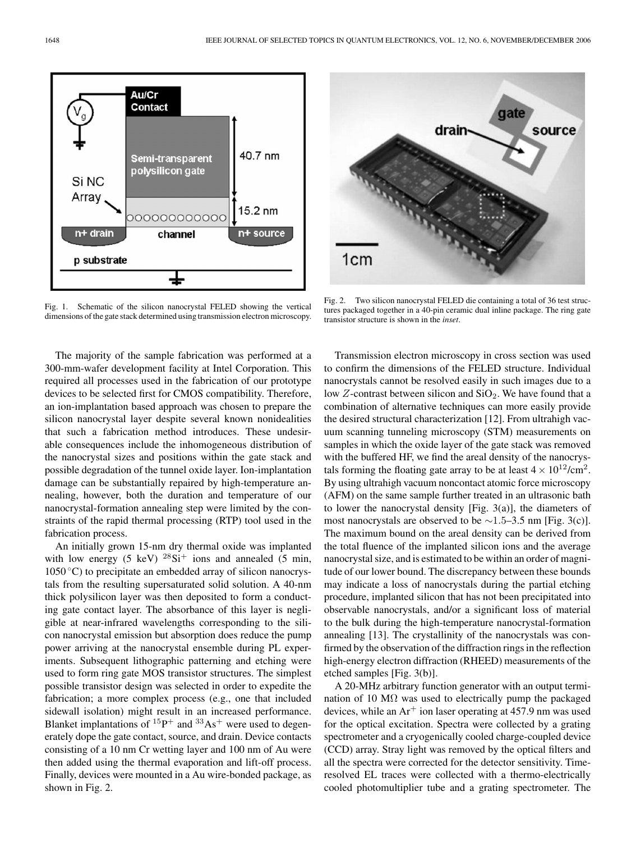

Fig. 1. Schematic of the silicon nanocrystal FELED showing the vertical dimensions of the gate stack determined using transmission electron microscopy.

The majority of the sample fabrication was performed at a 300-mm-wafer development facility at Intel Corporation. This required all processes used in the fabrication of our prototype devices to be selected first for CMOS compatibility. Therefore, an ion-implantation based approach was chosen to prepare the silicon nanocrystal layer despite several known nonidealities that such a fabrication method introduces. These undesirable consequences include the inhomogeneous distribution of the nanocrystal sizes and positions within the gate stack and possible degradation of the tunnel oxide layer. Ion-implantation damage can be substantially repaired by high-temperature annealing, however, both the duration and temperature of our nanocrystal-formation annealing step were limited by the constraints of the rapid thermal processing (RTP) tool used in the fabrication process.

An initially grown 15-nm dry thermal oxide was implanted with low energy (5 keV)  $^{28}Si^{+}$  ions and annealed (5 min,  $1050 \degree C$ ) to precipitate an embedded array of silicon nanocrystals from the resulting supersaturated solid solution. A 40-nm thick polysilicon layer was then deposited to form a conducting gate contact layer. The absorbance of this layer is negligible at near-infrared wavelengths corresponding to the silicon nanocrystal emission but absorption does reduce the pump power arriving at the nanocrystal ensemble during PL experiments. Subsequent lithographic patterning and etching were used to form ring gate MOS transistor structures. The simplest possible transistor design was selected in order to expedite the fabrication; a more complex process (e.g., one that included sidewall isolation) might result in an increased performance. Blanket implantations of  $^{15}P^+$  and  $^{33}As^+$  were used to degenerately dope the gate contact, source, and drain. Device contacts consisting of a 10 nm Cr wetting layer and 100 nm of Au were then added using the thermal evaporation and lift-off process. Finally, devices were mounted in a Au wire-bonded package, as shown in Fig. 2.



Fig. 2. Two silicon nanocrystal FELED die containing a total of 36 test structures packaged together in a 40-pin ceramic dual inline package. The ring gate transistor structure is shown in the *inset*.

Transmission electron microscopy in cross section was used to confirm the dimensions of the FELED structure. Individual nanocrystals cannot be resolved easily in such images due to a low Z-contrast between silicon and  $SiO<sub>2</sub>$ . We have found that a combination of alternative techniques can more easily provide the desired structural characterization [12]. From ultrahigh vacuum scanning tunneling microscopy (STM) measurements on samples in which the oxide layer of the gate stack was removed with the buffered HF, we find the areal density of the nanocrystals forming the floating gate array to be at least  $4 \times 10^{12}$ /cm<sup>2</sup>. By using ultrahigh vacuum noncontact atomic force microscopy (AFM) on the same sample further treated in an ultrasonic bath to lower the nanocrystal density [Fig. 3(a)], the diameters of most nanocrystals are observed to be  $\sim$ 1.5–3.5 nm [Fig. 3(c)]. The maximum bound on the areal density can be derived from the total fluence of the implanted silicon ions and the average nanocrystal size, and is estimated to be within an order of magnitude of our lower bound. The discrepancy between these bounds may indicate a loss of nanocrystals during the partial etching procedure, implanted silicon that has not been precipitated into observable nanocrystals, and/or a significant loss of material to the bulk during the high-temperature nanocrystal-formation annealing [13]. The crystallinity of the nanocrystals was confirmed by the observation of the diffraction rings in the reflection high-energy electron diffraction (RHEED) measurements of the etched samples [Fig. 3(b)].

A 20-MHz arbitrary function generator with an output termination of 10 M $\Omega$  was used to electrically pump the packaged devices, while an  $Ar^+$  ion laser operating at 457.9 nm was used for the optical excitation. Spectra were collected by a grating spectrometer and a cryogenically cooled charge-coupled device (CCD) array. Stray light was removed by the optical filters and all the spectra were corrected for the detector sensitivity. Timeresolved EL traces were collected with a thermo-electrically cooled photomultiplier tube and a grating spectrometer. The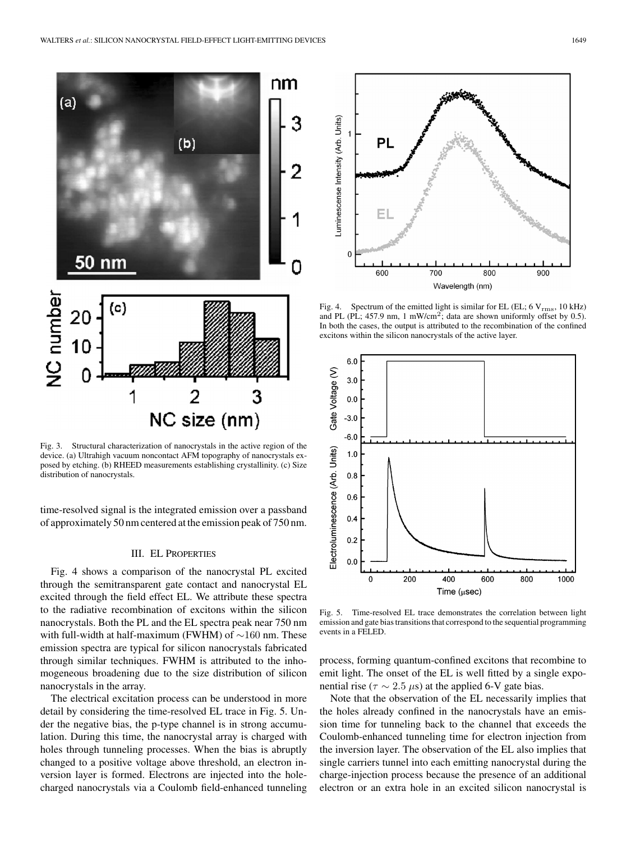

Fig. 3. Structural characterization of nanocrystals in the active region of the device. (a) Ultrahigh vacuum noncontact AFM topography of nanocrystals exposed by etching. (b) RHEED measurements establishing crystallinity. (c) Size distribution of nanocrystals.

time-resolved signal is the integrated emission over a passband of approximately 50 nm centered at the emission peak of 750 nm.

### III. EL PROPERTIES

Fig. 4 shows a comparison of the nanocrystal PL excited through the semitransparent gate contact and nanocrystal EL excited through the field effect EL. We attribute these spectra to the radiative recombination of excitons within the silicon nanocrystals. Both the PL and the EL spectra peak near 750 nm with full-width at half-maximum (FWHM) of ∼160 nm. These emission spectra are typical for silicon nanocrystals fabricated through similar techniques. FWHM is attributed to the inhomogeneous broadening due to the size distribution of silicon nanocrystals in the array.

The electrical excitation process can be understood in more detail by considering the time-resolved EL trace in Fig. 5. Under the negative bias, the p-type channel is in strong accumulation. During this time, the nanocrystal array is charged with holes through tunneling processes. When the bias is abruptly changed to a positive voltage above threshold, an electron inversion layer is formed. Electrons are injected into the holecharged nanocrystals via a Coulomb field-enhanced tunneling



Fig. 4. Spectrum of the emitted light is similar for EL (EL;  $6 V_{\text{rms}}$ ,  $10 kHz$ ) and PL (PL; 457.9 nm, 1 mW/cm<sup>2</sup>; data are shown uniformly offset by 0.5). In both the cases, the output is attributed to the recombination of the confined excitons within the silicon nanocrystals of the active layer.



Fig. 5. Time-resolved EL trace demonstrates the correlation between light emission and gate bias transitions that correspond to the sequential programming events in a FELED.

process, forming quantum-confined excitons that recombine to emit light. The onset of the EL is well fitted by a single exponential rise ( $\tau \sim 2.5 \,\mu s$ ) at the applied 6-V gate bias.

Note that the observation of the EL necessarily implies that the holes already confined in the nanocrystals have an emission time for tunneling back to the channel that exceeds the Coulomb-enhanced tunneling time for electron injection from the inversion layer. The observation of the EL also implies that single carriers tunnel into each emitting nanocrystal during the charge-injection process because the presence of an additional electron or an extra hole in an excited silicon nanocrystal is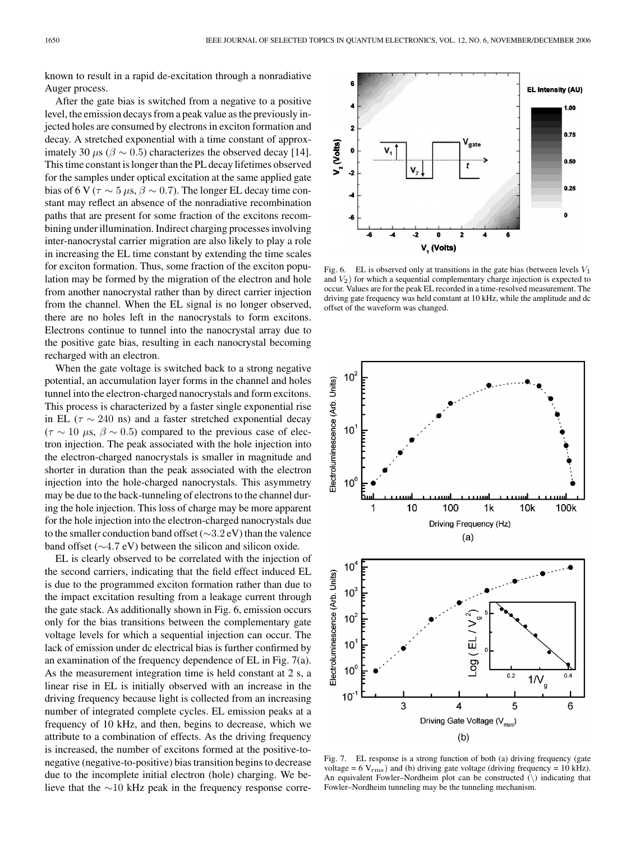known to result in a rapid de-excitation through a nonradiative Auger process.

After the gate bias is switched from a negative to a positive level, the emission decays from a peak value as the previously injected holes are consumed by electrons in exciton formation and decay. A stretched exponential with a time constant of approximately 30  $\mu$ s ( $\beta \sim 0.5$ ) characterizes the observed decay [14]. This time constant is longer than the PL decay lifetimes observed for the samples under optical excitation at the same applied gate bias of 6 V ( $\tau \sim 5 \mu s$ ,  $\beta \sim 0.7$ ). The longer EL decay time constant may reflect an absence of the nonradiative recombination paths that are present for some fraction of the excitons recombining under illumination. Indirect charging processes involving inter-nanocrystal carrier migration are also likely to play a role in increasing the EL time constant by extending the time scales for exciton formation. Thus, some fraction of the exciton population may be formed by the migration of the electron and hole from another nanocrystal rather than by direct carrier injection from the channel. When the EL signal is no longer observed, there are no holes left in the nanocrystals to form excitons. Electrons continue to tunnel into the nanocrystal array due to the positive gate bias, resulting in each nanocrystal becoming recharged with an electron.

When the gate voltage is switched back to a strong negative potential, an accumulation layer forms in the channel and holes tunnel into the electron-charged nanocrystals and form excitons. This process is characterized by a faster single exponential rise in EL ( $\tau \sim 240$  ns) and a faster stretched exponential decay  $(\tau \sim 10 \mu s, \beta \sim 0.5)$  compared to the previous case of electron injection. The peak associated with the hole injection into the electron-charged nanocrystals is smaller in magnitude and shorter in duration than the peak associated with the electron injection into the hole-charged nanocrystals. This asymmetry may be due to the back-tunneling of electrons to the channel during the hole injection. This loss of charge may be more apparent for the hole injection into the electron-charged nanocrystals due to the smaller conduction band offset (∼3.2 eV) than the valence band offset (∼4.7 eV) between the silicon and silicon oxide.

EL is clearly observed to be correlated with the injection of the second carriers, indicating that the field effect induced EL is due to the programmed exciton formation rather than due to the impact excitation resulting from a leakage current through the gate stack. As additionally shown in Fig. 6, emission occurs only for the bias transitions between the complementary gate voltage levels for which a sequential injection can occur. The lack of emission under dc electrical bias is further confirmed by an examination of the frequency dependence of EL in Fig. 7(a). As the measurement integration time is held constant at 2 s, a linear rise in EL is initially observed with an increase in the driving frequency because light is collected from an increasing number of integrated complete cycles. EL emission peaks at a frequency of 10 kHz, and then, begins to decrease, which we attribute to a combination of effects. As the driving frequency is increased, the number of excitons formed at the positive-tonegative (negative-to-positive) bias transition begins to decrease due to the incomplete initial electron (hole) charging. We believe that the ∼10 kHz peak in the frequency response corre-



Fig. 6. EL is observed only at transitions in the gate bias (between levels  $V_1$ ) and  $V_2$ ) for which a sequential complementary charge injection is expected to occur. Values are for the peak EL recorded in a time-resolved measurement. The driving gate frequency was held constant at 10 kHz, while the amplitude and dc offset of the waveform was changed.



Fig. 7. EL response is a strong function of both (a) driving frequency (gate voltage =  $6$  V<sub>rms</sub>) and (b) driving gate voltage (driving frequency =  $10$  kHz). An equivalent Fowler–Nordheim plot can be constructed (\) indicating that Fowler–Nordheim tunneling may be the tunneling mechanism.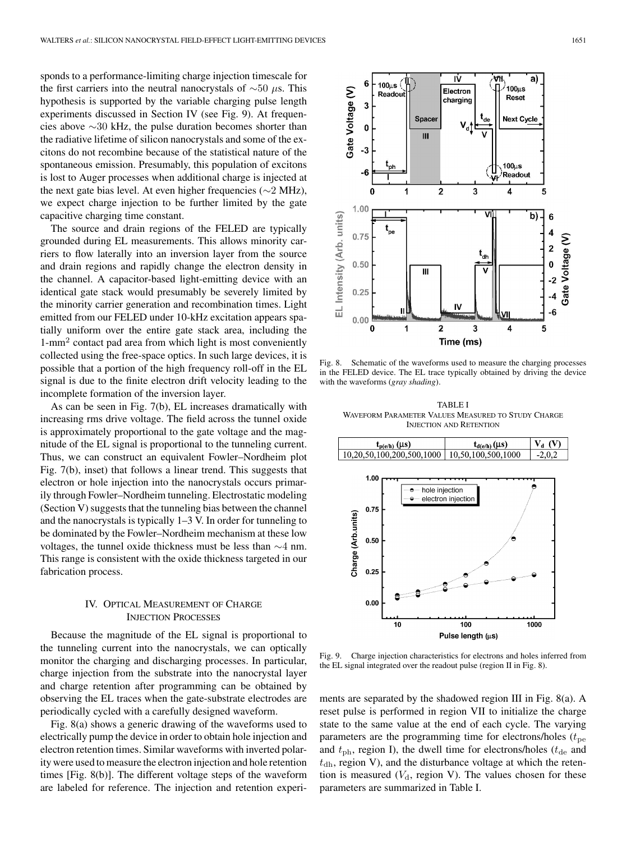sponds to a performance-limiting charge injection timescale for the first carriers into the neutral nanocrystals of  $\sim$ 50 µs. This hypothesis is supported by the variable charging pulse length experiments discussed in Section IV (see Fig. 9). At frequencies above ∼30 kHz, the pulse duration becomes shorter than the radiative lifetime of silicon nanocrystals and some of the excitons do not recombine because of the statistical nature of the spontaneous emission. Presumably, this population of excitons is lost to Auger processes when additional charge is injected at the next gate bias level. At even higher frequencies (∼2 MHz), we expect charge injection to be further limited by the gate capacitive charging time constant.

The source and drain regions of the FELED are typically grounded during EL measurements. This allows minority carriers to flow laterally into an inversion layer from the source and drain regions and rapidly change the electron density in the channel. A capacitor-based light-emitting device with an identical gate stack would presumably be severely limited by the minority carrier generation and recombination times. Light emitted from our FELED under 10-kHz excitation appears spatially uniform over the entire gate stack area, including the 1-mm<sup>2</sup> contact pad area from which light is most conveniently collected using the free-space optics. In such large devices, it is possible that a portion of the high frequency roll-off in the EL signal is due to the finite electron drift velocity leading to the incomplete formation of the inversion layer.

As can be seen in Fig. 7(b), EL increases dramatically with increasing rms drive voltage. The field across the tunnel oxide is approximately proportional to the gate voltage and the magnitude of the EL signal is proportional to the tunneling current. Thus, we can construct an equivalent Fowler–Nordheim plot Fig. 7(b), inset) that follows a linear trend. This suggests that electron or hole injection into the nanocrystals occurs primarily through Fowler–Nordheim tunneling. Electrostatic modeling (Section V) suggests that the tunneling bias between the channel and the nanocrystals is typically 1–3 V. In order for tunneling to be dominated by the Fowler–Nordheim mechanism at these low voltages, the tunnel oxide thickness must be less than ∼4 nm. This range is consistent with the oxide thickness targeted in our fabrication process.

# IV. OPTICAL MEASUREMENT OF CHARGE INJECTION PROCESSES

Because the magnitude of the EL signal is proportional to the tunneling current into the nanocrystals, we can optically monitor the charging and discharging processes. In particular, charge injection from the substrate into the nanocrystal layer and charge retention after programming can be obtained by observing the EL traces when the gate-substrate electrodes are periodically cycled with a carefully designed waveform.

Fig. 8(a) shows a generic drawing of the waveforms used to electrically pump the device in order to obtain hole injection and electron retention times. Similar waveforms with inverted polarity were used to measure the electron injection and hole retention times [Fig. 8(b)]. The different voltage steps of the waveform are labeled for reference. The injection and retention experi-



Fig. 8. Schematic of the waveforms used to measure the charging processes in the FELED device. The EL trace typically obtained by driving the device with the waveforms (*gray shading*).

TABLE I WAVEFORM PARAMETER VALUES MEASURED TO STUDY CHARGE INJECTION AND RETENTION



Fig. 9. Charge injection characteristics for electrons and holes inferred from the EL signal integrated over the readout pulse (region II in Fig. 8).

ments are separated by the shadowed region III in Fig. 8(a). A reset pulse is performed in region VII to initialize the charge state to the same value at the end of each cycle. The varying parameters are the programming time for electrons/holes  $(t_{pe}$ and  $t_{\rm ph}$ , region I), the dwell time for electrons/holes ( $t_{\rm de}$  and  $t<sub>dh</sub>$ , region V), and the disturbance voltage at which the retention is measured  $(V_d,$  region V). The values chosen for these parameters are summarized in Table I.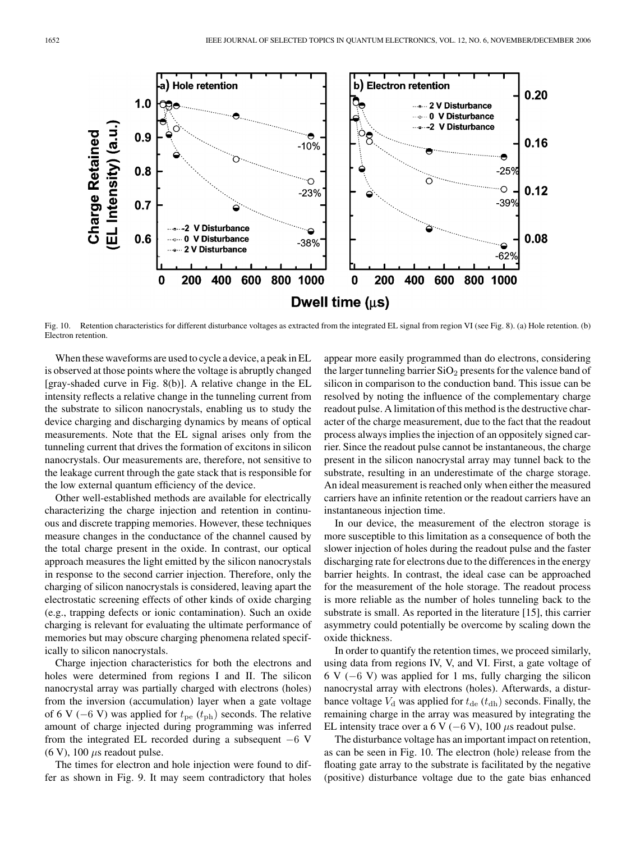

Fig. 10. Retention characteristics for different disturbance voltages as extracted from the integrated EL signal from region VI (see Fig. 8). (a) Hole retention. (b) Electron retention.

When these waveforms are used to cycle a device, a peak in EL is observed at those points where the voltage is abruptly changed [gray-shaded curve in Fig.  $8(b)$ ]. A relative change in the EL intensity reflects a relative change in the tunneling current from the substrate to silicon nanocrystals, enabling us to study the device charging and discharging dynamics by means of optical measurements. Note that the EL signal arises only from the tunneling current that drives the formation of excitons in silicon nanocrystals. Our measurements are, therefore, not sensitive to the leakage current through the gate stack that is responsible for the low external quantum efficiency of the device.

Other well-established methods are available for electrically characterizing the charge injection and retention in continuous and discrete trapping memories. However, these techniques measure changes in the conductance of the channel caused by the total charge present in the oxide. In contrast, our optical approach measures the light emitted by the silicon nanocrystals in response to the second carrier injection. Therefore, only the charging of silicon nanocrystals is considered, leaving apart the electrostatic screening effects of other kinds of oxide charging (e.g., trapping defects or ionic contamination). Such an oxide charging is relevant for evaluating the ultimate performance of memories but may obscure charging phenomena related specifically to silicon nanocrystals.

Charge injection characteristics for both the electrons and holes were determined from regions I and II. The silicon nanocrystal array was partially charged with electrons (holes) from the inversion (accumulation) layer when a gate voltage of 6 V (−6 V) was applied for  $t_{pe}$  ( $t_{ph}$ ) seconds. The relative amount of charge injected during programming was inferred from the integrated EL recorded during a subsequent  $-6$  V (6 V), 100  $\mu$ s readout pulse.

The times for electron and hole injection were found to differ as shown in Fig. 9. It may seem contradictory that holes appear more easily programmed than do electrons, considering the larger tunneling barrier  $SiO<sub>2</sub>$  presents for the valence band of silicon in comparison to the conduction band. This issue can be resolved by noting the influence of the complementary charge readout pulse. A limitation of this method is the destructive character of the charge measurement, due to the fact that the readout process always implies the injection of an oppositely signed carrier. Since the readout pulse cannot be instantaneous, the charge present in the silicon nanocrystal array may tunnel back to the substrate, resulting in an underestimate of the charge storage. An ideal measurement is reached only when either the measured carriers have an infinite retention or the readout carriers have an instantaneous injection time.

In our device, the measurement of the electron storage is more susceptible to this limitation as a consequence of both the slower injection of holes during the readout pulse and the faster discharging rate for electrons due to the differences in the energy barrier heights. In contrast, the ideal case can be approached for the measurement of the hole storage. The readout process is more reliable as the number of holes tunneling back to the substrate is small. As reported in the literature [15], this carrier asymmetry could potentially be overcome by scaling down the oxide thickness.

In order to quantify the retention times, we proceed similarly, using data from regions IV, V, and VI. First, a gate voltage of 6 V ( $-6$  V) was applied for 1 ms, fully charging the silicon nanocrystal array with electrons (holes). Afterwards, a disturbance voltage  $V_d$  was applied for  $t_{de}$  ( $t_{dh}$ ) seconds. Finally, the remaining charge in the array was measured by integrating the EL intensity trace over a 6 V (−6 V), 100  $\mu$ s readout pulse.

The disturbance voltage has an important impact on retention, as can be seen in Fig. 10. The electron (hole) release from the floating gate array to the substrate is facilitated by the negative (positive) disturbance voltage due to the gate bias enhanced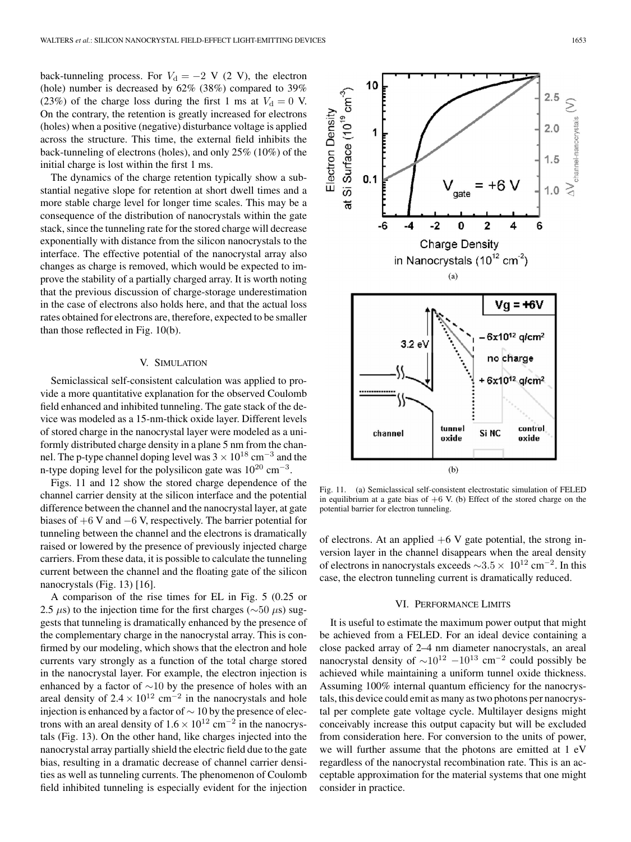back-tunneling process. For  $V_d = -2$  V (2 V), the electron (hole) number is decreased by 62% (38%) compared to 39% (23%) of the charge loss during the first 1 ms at  $V_d = 0$  V. On the contrary, the retention is greatly increased for electrons (holes) when a positive (negative) disturbance voltage is applied across the structure. This time, the external field inhibits the back-tunneling of electrons (holes), and only 25% (10%) of the initial charge is lost within the first 1 ms.

The dynamics of the charge retention typically show a substantial negative slope for retention at short dwell times and a more stable charge level for longer time scales. This may be a consequence of the distribution of nanocrystals within the gate stack, since the tunneling rate for the stored charge will decrease exponentially with distance from the silicon nanocrystals to the interface. The effective potential of the nanocrystal array also changes as charge is removed, which would be expected to improve the stability of a partially charged array. It is worth noting that the previous discussion of charge-storage underestimation in the case of electrons also holds here, and that the actual loss rates obtained for electrons are, therefore, expected to be smaller than those reflected in Fig. 10(b).

#### V. SIMULATION

Semiclassical self-consistent calculation was applied to provide a more quantitative explanation for the observed Coulomb field enhanced and inhibited tunneling. The gate stack of the device was modeled as a 15-nm-thick oxide layer. Different levels of stored charge in the nanocrystal layer were modeled as a uniformly distributed charge density in a plane 5 nm from the channel. The p-type channel doping level was  $3 \times 10^{18}$  cm<sup>-3</sup> and the n-type doping level for the polysilicon gate was  $10^{20}$  cm<sup>-3</sup>.

Figs. 11 and 12 show the stored charge dependence of the channel carrier density at the silicon interface and the potential difference between the channel and the nanocrystal layer, at gate biases of +6 V and −6 V, respectively. The barrier potential for tunneling between the channel and the electrons is dramatically raised or lowered by the presence of previously injected charge carriers. From these data, it is possible to calculate the tunneling current between the channel and the floating gate of the silicon nanocrystals (Fig. 13) [16].

A comparison of the rise times for EL in Fig. 5 (0.25 or 2.5  $\mu$ s) to the injection time for the first charges ( $\sim$ 50  $\mu$ s) suggests that tunneling is dramatically enhanced by the presence of the complementary charge in the nanocrystal array. This is confirmed by our modeling, which shows that the electron and hole currents vary strongly as a function of the total charge stored in the nanocrystal layer. For example, the electron injection is enhanced by a factor of ∼10 by the presence of holes with an areal density of  $2.4 \times 10^{12}$  cm<sup>-2</sup> in the nanocrystals and hole injection is enhanced by a factor of ∼ 10 by the presence of electrons with an areal density of  $1.6 \times 10^{12}$  cm<sup>-2</sup> in the nanocrystals (Fig. 13). On the other hand, like charges injected into the nanocrystal array partially shield the electric field due to the gate bias, resulting in a dramatic decrease of channel carrier densities as well as tunneling currents. The phenomenon of Coulomb field inhibited tunneling is especially evident for the injection



Fig. 11. (a) Semiclassical self-consistent electrostatic simulation of FELED in equilibrium at a gate bias of  $+6$  V. (b) Effect of the stored charge on the potential barrier for electron tunneling.

of electrons. At an applied  $+6$  V gate potential, the strong inversion layer in the channel disappears when the areal density of electrons in nanocrystals exceeds  $\sim$ 3.5 × 10<sup>12</sup> cm<sup>-2</sup>. In this case, the electron tunneling current is dramatically reduced.

#### VI. PERFORMANCE LIMITS

It is useful to estimate the maximum power output that might be achieved from a FELED. For an ideal device containing a close packed array of 2–4 nm diameter nanocrystals, an areal nanocrystal density of  $\sim$ 10<sup>12</sup> −10<sup>13</sup> cm<sup>−2</sup> could possibly be achieved while maintaining a uniform tunnel oxide thickness. Assuming 100% internal quantum efficiency for the nanocrystals, this device could emit as many as two photons per nanocrystal per complete gate voltage cycle. Multilayer designs might conceivably increase this output capacity but will be excluded from consideration here. For conversion to the units of power, we will further assume that the photons are emitted at 1 eV regardless of the nanocrystal recombination rate. This is an acceptable approximation for the material systems that one might consider in practice.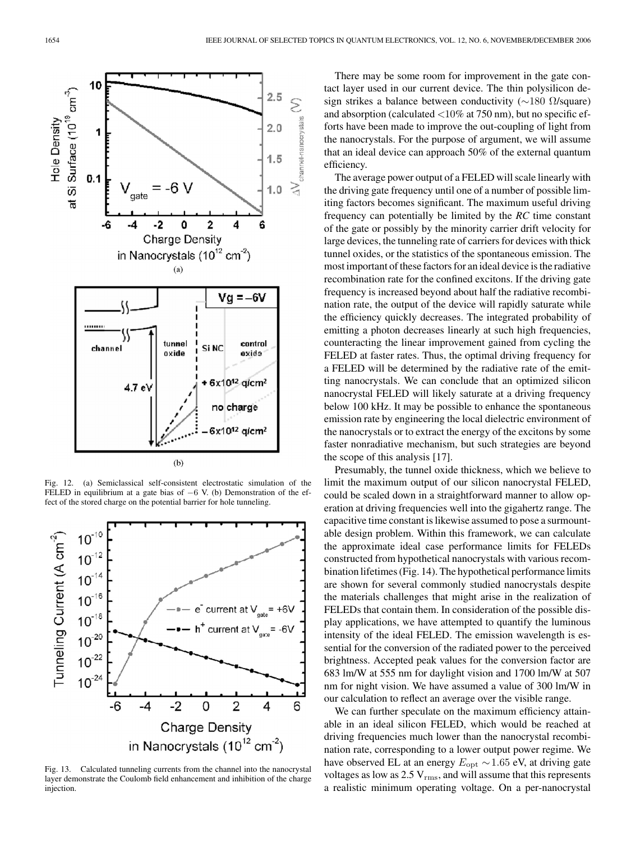

Fig. 12. (a) Semiclassical self-consistent electrostatic simulation of the FELED in equilibrium at a gate bias of −6 V. (b) Demonstration of the effect of the stored charge on the potential barrier for hole tunneling.



Fig. 13. Calculated tunneling currents from the channel into the nanocrystal layer demonstrate the Coulomb field enhancement and inhibition of the charge injection.

There may be some room for improvement in the gate contact layer used in our current device. The thin polysilicon design strikes a balance between conductivity (∼180 Ω/square) and absorption (calculated  $\langle 10\% \text{ at } 750 \text{ nm} \rangle$ , but no specific efforts have been made to improve the out-coupling of light from the nanocrystals. For the purpose of argument, we will assume that an ideal device can approach 50% of the external quantum efficiency.

The average power output of a FELED will scale linearly with the driving gate frequency until one of a number of possible limiting factors becomes significant. The maximum useful driving frequency can potentially be limited by the *RC* time constant of the gate or possibly by the minority carrier drift velocity for large devices, the tunneling rate of carriers for devices with thick tunnel oxides, or the statistics of the spontaneous emission. The most important of these factors for an ideal device is the radiative recombination rate for the confined excitons. If the driving gate frequency is increased beyond about half the radiative recombination rate, the output of the device will rapidly saturate while the efficiency quickly decreases. The integrated probability of emitting a photon decreases linearly at such high frequencies, counteracting the linear improvement gained from cycling the FELED at faster rates. Thus, the optimal driving frequency for a FELED will be determined by the radiative rate of the emitting nanocrystals. We can conclude that an optimized silicon nanocrystal FELED will likely saturate at a driving frequency below 100 kHz. It may be possible to enhance the spontaneous emission rate by engineering the local dielectric environment of the nanocrystals or to extract the energy of the excitons by some faster nonradiative mechanism, but such strategies are beyond the scope of this analysis [17].

Presumably, the tunnel oxide thickness, which we believe to limit the maximum output of our silicon nanocrystal FELED, could be scaled down in a straightforward manner to allow operation at driving frequencies well into the gigahertz range. The capacitive time constant is likewise assumed to pose a surmountable design problem. Within this framework, we can calculate the approximate ideal case performance limits for FELEDs constructed from hypothetical nanocrystals with various recombination lifetimes (Fig. 14). The hypothetical performance limits are shown for several commonly studied nanocrystals despite the materials challenges that might arise in the realization of FELEDs that contain them. In consideration of the possible display applications, we have attempted to quantify the luminous intensity of the ideal FELED. The emission wavelength is essential for the conversion of the radiated power to the perceived brightness. Accepted peak values for the conversion factor are 683 lm/W at 555 nm for daylight vision and 1700 lm/W at 507 nm for night vision. We have assumed a value of 300 lm/W in our calculation to reflect an average over the visible range.

We can further speculate on the maximum efficiency attainable in an ideal silicon FELED, which would be reached at driving frequencies much lower than the nanocrystal recombination rate, corresponding to a lower output power regime. We have observed EL at an energy  $E_{opt} \sim 1.65$  eV, at driving gate voltages as low as  $2.5 V_{\rm rms}$ , and will assume that this represents a realistic minimum operating voltage. On a per-nanocrystal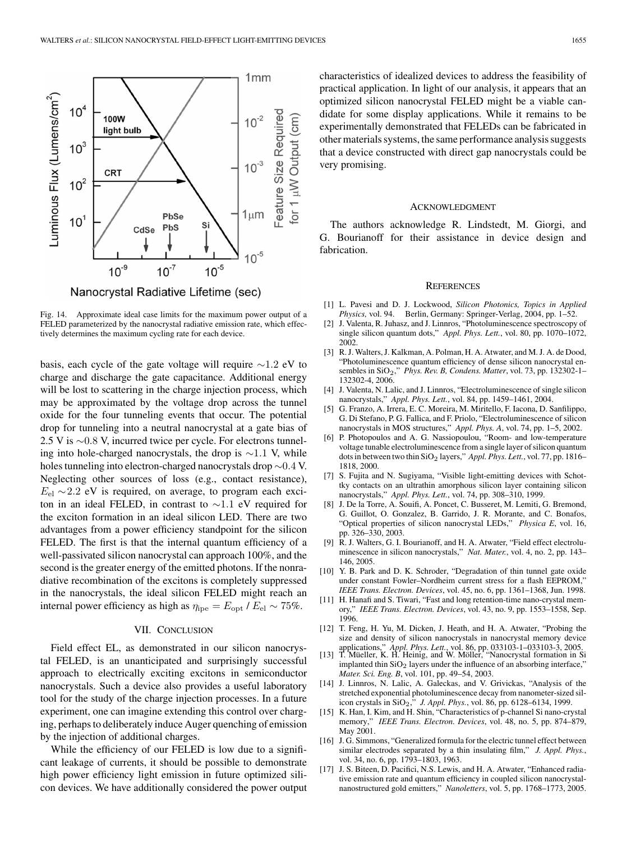

Fig. 14. Approximate ideal case limits for the maximum power output of a FELED parameterized by the nanocrystal radiative emission rate, which effectively determines the maximum cycling rate for each device.

basis, each cycle of the gate voltage will require  $\sim$ 1.2 eV to charge and discharge the gate capacitance. Additional energy will be lost to scattering in the charge injection process, which may be approximated by the voltage drop across the tunnel oxide for the four tunneling events that occur. The potential drop for tunneling into a neutral nanocrystal at a gate bias of 2.5 V is ∼0.8 V, incurred twice per cycle. For electrons tunneling into hole-charged nanocrystals, the drop is ∼1.1 V, while holes tunneling into electron-charged nanocrystals drop ∼0.4 V. Neglecting other sources of loss (e.g., contact resistance),  $E_{\text{el}} \sim 2.2$  eV is required, on average, to program each exciton in an ideal FELED, in contrast to ∼1.1 eV required for the exciton formation in an ideal silicon LED. There are two advantages from a power efficiency standpoint for the silicon FELED. The first is that the internal quantum efficiency of a well-passivated silicon nanocrystal can approach 100%, and the second is the greater energy of the emitted photons. If the nonradiative recombination of the excitons is completely suppressed in the nanocrystals, the ideal silicon FELED might reach an internal power efficiency as high as  $\eta_{\text{ipe}} = E_{\text{opt}} / E_{\text{el}} \sim 75\%.$ 

# VII. CONCLUSION

Field effect EL, as demonstrated in our silicon nanocrystal FELED, is an unanticipated and surprisingly successful approach to electrically exciting excitons in semiconductor nanocrystals. Such a device also provides a useful laboratory tool for the study of the charge injection processes. In a future experiment, one can imagine extending this control over charging, perhaps to deliberately induce Auger quenching of emission by the injection of additional charges.

While the efficiency of our FELED is low due to a significant leakage of currents, it should be possible to demonstrate high power efficiency light emission in future optimized silicon devices. We have additionally considered the power output characteristics of idealized devices to address the feasibility of practical application. In light of our analysis, it appears that an optimized silicon nanocrystal FELED might be a viable candidate for some display applications. While it remains to be experimentally demonstrated that FELEDs can be fabricated in other materials systems, the same performance analysis suggests that a device constructed with direct gap nanocrystals could be very promising.

#### ACKNOWLEDGMENT

The authors acknowledge R. Lindstedt, M. Giorgi, and G. Bourianoff for their assistance in device design and fabrication.

#### **REFERENCES**

- [1] L. Pavesi and D. J. Lockwood, *Silicon Photonics, Topics in Applied Physics,* vol. 94. Berlin, Germany: Springer-Verlag, 2004, pp. 1–52.
- [2] J. Valenta, R. Juhasz, and J. Linnros, "Photoluminescence spectroscopy of single silicon quantum dots," *Appl. Phys. Lett.*, vol. 80, pp. 1070–1072, 2002.
- [3] R. J. Walters, J. Kalkman, A. Polman, H. A. Atwater, and M. J. A. de Dood, "Photoluminescence quantum efficiency of dense silicon nanocrystal ensembles in SiO2," *Phys. Rev. B, Condens. Matter*, vol. 73, pp. 132302-1– 132302-4, 2006.
- [4] J. Valenta, N. Lalic, and J. Linnros, "Electroluminescence of single silicon nanocrystals," *Appl. Phys. Lett.*, vol. 84, pp. 1459–1461, 2004.
- [5] G. Franzo, A. Irrera, E. C. Moreira, M. Miritello, F. Iacona, D. Sanfilippo, G. Di Stefano, P. G. Fallica, and F. Priolo, "Electroluminescence of silicon nanocrystals in MOS structures," *Appl. Phys. A*, vol. 74, pp. 1–5, 2002.
- [6] P. Photopoulos and A. G. Nassiopoulou, "Room- and low-temperature voltage tunable electroluminescence from a single layer of silicon quantum dots in between two thin SiO<sub>2</sub> layers," *Appl. Phys. Lett.*, vol. 77, pp. 1816– 1818, 2000.
- [7] S. Fujita and N. Sugiyama, "Visible light-emitting devices with Schottky contacts on an ultrathin amorphous silicon layer containing silicon nanocrystals," *Appl. Phys. Lett.*, vol. 74, pp. 308–310, 1999.
- [8] J. De la Torre, A. Souifi, A. Poncet, C. Busseret, M. Lemiti, G. Bremond, G. Guillot, O. Gonzalez, B. Garrido, J. R. Morante, and C. Bonafos, "Optical properties of silicon nanocrystal LEDs," *Physica E*, vol. 16, pp. 326–330, 2003.
- [9] R. J. Walters, G. I. Bourianoff, and H. A. Atwater, "Field effect electroluminescence in silicon nanocrystals," *Nat. Mater.*, vol. 4, no. 2, pp. 143– 146, 2005.
- [10] Y. B. Park and D. K. Schroder, "Degradation of thin tunnel gate oxide under constant Fowler–Nordheim current stress for a flash EEPROM," *IEEE Trans. Electron. Devices*, vol. 45, no. 6, pp. 1361–1368, Jun. 1998.
- [11] H. Hanafi and S. Tiwari, "Fast and long retention-time nano-crystal memory," *IEEE Trans. Electron. Devices*, vol. 43, no. 9, pp. 1553–1558, Sep. 1996.
- [12] T. Feng, H. Yu, M. Dicken, J. Heath, and H. A. Atwater, "Probing the size and density of silicon nanocrystals in nanocrystal memory device applications," *Appl. Phys. Lett.*, vol. 86, pp. 033103-1–033103-3, 2005. [13] T. Müeller, K. H. Heinig, and W. Möller, "Nanocrystal formation in Si
- implanted thin SiO<sub>2</sub> layers under the influence of an absorbing interface," *Mater. Sci. Eng. B*, vol. 101, pp. 49–54, 2003.
- [14] J. Linnros, N. Lalic, A. Galeckas, and V. Grivickas, "Analysis of the stretched exponential photoluminescence decay from nanometer-sized silicon crystals in SiO2," *J. Appl. Phys.*, vol. 86, pp. 6128–6134, 1999.
- [15] K. Han, I. Kim, and H. Shin, "Characteristics of p-channel Si nano-crystal memory," *IEEE Trans. Electron. Devices*, vol. 48, no. 5, pp. 874–879, May 2001.
- [16] J. G. Simmons, "Generalized formula for the electric tunnel effect between similar electrodes separated by a thin insulating film," *J. Appl. Phys.*, vol. 34, no. 6, pp. 1793–1803, 1963.
- [17] J. S. Biteen, D. Pacifici, N.S. Lewis, and H. A. Atwater, "Enhanced radiative emission rate and quantum efficiency in coupled silicon nanocrystalnanostructured gold emitters," *Nanoletters*, vol. 5, pp. 1768–1773, 2005.